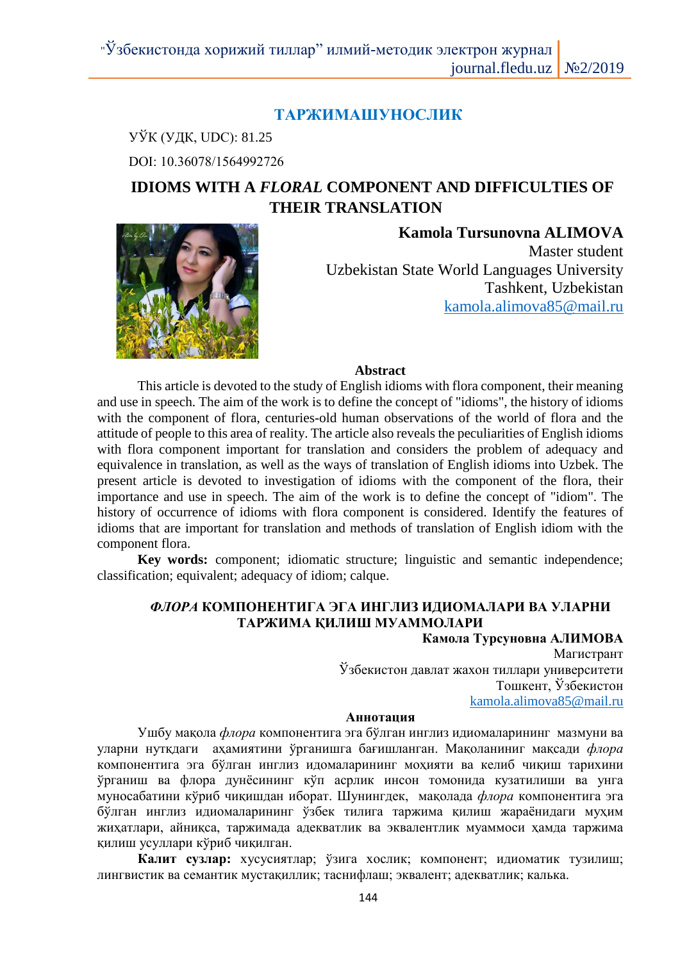# **ТАРЖИМАШУНОСЛИК**

УЎК (УДК, UDC): 81.25 DOI: 10.36078/1564992726

# **IDIOMS WITH A** *FLORAL* **COMPONENT AND DIFFICULTIES OF THEIR TRANSLATION**



**Kamola Tursunovna ALIMOVA** Master student Uzbekistan State World Languages University Tashkent, Uzbekistan kamola.alimova85@mail.ru

### **Abstract**

This article is devoted to the study of English idioms with flora component, their meaning and use in speech. The aim of the work is to define the concept of "idioms", the history of idioms with the component of flora, centuries-old human observations of the world of flora and the attitude of people to this area of reality. The article also reveals the peculiarities of English idioms with flora component important for translation and considers the problem of adequacy and equivalence in translation, as well as the ways of translation of English idioms into Uzbek. The present article is devoted to investigation of idioms with the component of the flora, their importance and use in speech. The aim of the work is to define the concept of "idiom". The history of occurrence of idioms with flora component is considered. Identify the features of idioms that are important for translation and methods of translation of English idiom with the component flora.

**Key words:** component; idiomatic structure; linguistic and semantic independence; classification; equivalent; adequacy of idiom; calque.

# *ФЛОРА* **КОМПОНЕНТИГА ЭГА ИНГЛИЗ ИДИОМАЛАРИ ВА УЛАРНИ ТАРЖИМА ҚИЛИШ МУАММОЛАРИ**

**Камола Турсуновна АЛИМОВА** Магистрант Ўзбекистон давлат жахон тиллари университети Тошкент, Ўзбекистон kamola.alimova85@mail.ru

### **Аннотация**

Ушбу мақола *флора* компонентига эга бўлган инглиз идиомаларининг мазмуни ва уларни нутқдаги аҳамиятини ўрганишга бағишланган. Мақоланиниг мақсади *флора* компонентига эга бўлган инглиз идомаларининг моҳияти ва келиб чиқиш тарихини ўрганиш ва флора дунёсининг кўп асрлик инсон томонида кузатилиши ва унга муносабатини кўриб чиқишдан иборат. Шунингдек, мақолада *флора* компонентига эга бўлган инглиз идиомаларининг ўзбек тилига таржима қилиш жараёнидаги муҳим жиҳатлари, айниқса, таржимада адекватлик ва эквалентлик муаммоси ҳамда таржима қилиш усуллари кўриб чиқилган.

**Калит сузлар:** хусусиятлар; ўзига хослик; компонент; идиоматик тузилиш; лингвистик ва семантик мустақиллик; таснифлаш; эквалент; адекватлик; калька.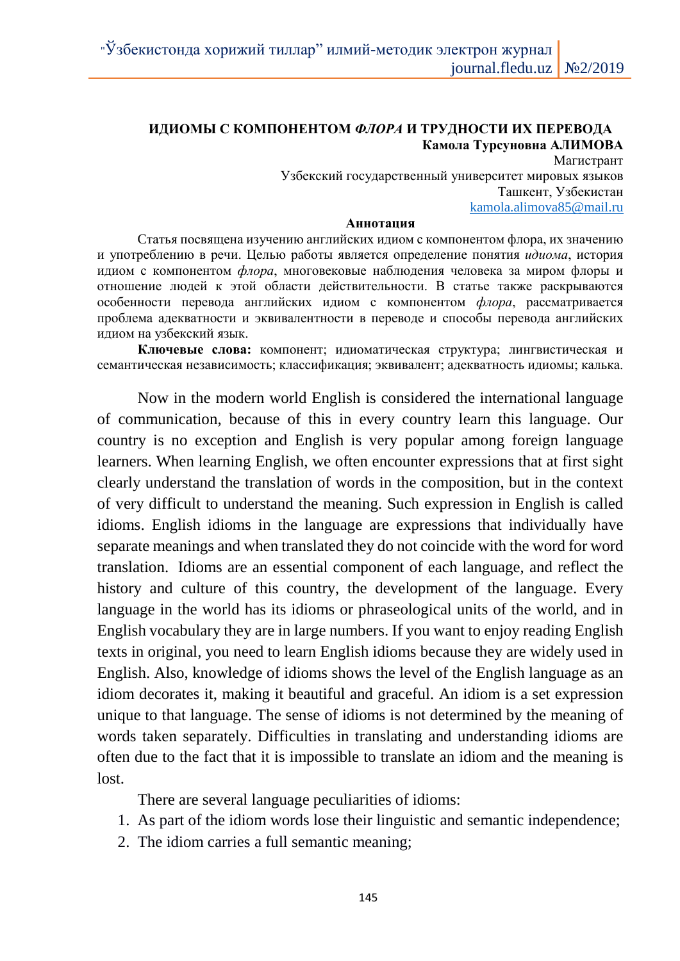# **ИДИОМЫ С КОМПОНЕНТОМ** *ФЛОРА* **И ТРУДНОСТИ ИХ ПЕРЕВОДА Камола Турсуновна АЛИМОВА**

Магистрант Узбекский государственный университет мировых языков Ташкент, Узбекистан kamola.alimova85@mail.ru

#### **Аннотация**

Cтатья посвящена изучению английских идиом с компонентом флора, их значению и употреблению в речи. Целью работы является определение понятия *идиома*, история идиом с компонентом *флора*, многовековые наблюдения человека за миром флоры и отношение людей к этой области действительности. В статье также раскрываются особенности перевода английских идиом с компонентом *флора*, рассматривается проблема адекватности и эквивалентности в переводе и способы перевода английских идиом на узбекский язык.

**Ключевые слова:** компонент; идиоматическая структура; лингвистическая и семантическая независимость; классификация; эквивалент; адекватность идиомы; калька.

Now in the modern world English is considered the international language of communication, because of this in every country learn this language. Our country is no exception and English is very popular among foreign language learners. When learning English, we often encounter expressions that at first sight clearly understand the translation of words in the composition, but in the context of very difficult to understand the meaning. Such expression in English is called idioms. English idioms in the language are expressions that individually have separate meanings and when translated they do not coincide with the word for word translation. Idioms are an essential component of each language, and reflect the history and culture of this country, the development of the language. Every language in the world has its idioms or phraseological units of the world, and in English vocabulary they are in large numbers. If you want to enjoy reading English texts in original, you need to learn English idioms because they are widely used in English. Also, knowledge of idioms shows the level of the English language as an idiom decorates it, making it beautiful and graceful. An idiom is a set expression unique to that language. The sense of idioms is not determined by the meaning of words taken separately. Difficulties in translating and understanding idioms are often due to the fact that it is impossible to translate an idiom and the meaning is lost.

There are several language peculiarities of idioms:

- 1. As part of the idiom words lose their linguistic and semantic independence;
- 2. The idiom carries a full semantic meaning;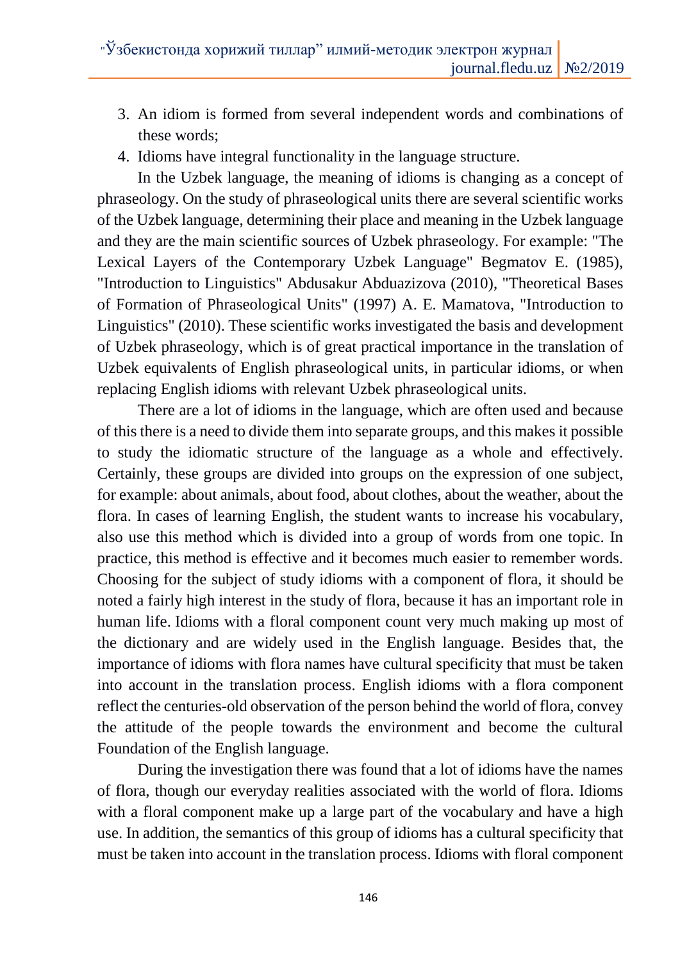- 3. An idiom is formed from several independent words and combinations of these words;
- 4. Idioms have integral functionality in the language structure.

In the Uzbek language, the meaning of idioms is changing as a concept of phraseology. On the study of phraseological units there are several scientific works of the Uzbek language, determining their place and meaning in the Uzbek language and they are the main scientific sources of Uzbek phraseology. For example: "The Lexical Layers of the Contemporary Uzbek Language" Begmatov E. (1985), "Introduction to Linguistics" Abdusakur Abduazizova (2010), "Theoretical Bases of Formation of Phraseological Units" (1997) A. E. Mamatova, "Introduction to Linguistics" (2010). These scientific works investigated the basis and development of Uzbek phraseology, which is of great practical importance in the translation of Uzbek equivalents of English phraseological units, in particular idioms, or when replacing English idioms with relevant Uzbek phraseological units.

There are a lot of idioms in the language, which are often used and because of this there is a need to divide them into separate groups, and this makes it possible to study the idiomatic structure of the language as a whole and effectively. Certainly, these groups are divided into groups on the expression of one subject, for example: about animals, about food, about clothes, about the weather, about the flora. In cases of learning English, the student wants to increase his vocabulary, also use this method which is divided into a group of words from one topic. In practice, this method is effective and it becomes much easier to remember words. Choosing for the subject of study idioms with a component of flora, it should be noted a fairly high interest in the study of flora, because it has an important role in human life. Idioms with a floral component count very much making up most of the dictionary and are widely used in the English language. Besides that, the importance of idioms with flora names have cultural specificity that must be taken into account in the translation process. English idioms with a flora component reflect the centuries-old observation of the person behind the world of flora, convey the attitude of the people towards the environment and become the cultural Foundation of the English language.

During the investigation there was found that a lot of idioms have the names of flora, though our everyday realities associated with the world of flora. Idioms with a floral component make up a large part of the vocabulary and have a high use. In addition, the semantics of this group of idioms has a cultural specificity that must be taken into account in the translation process. Idioms with floral component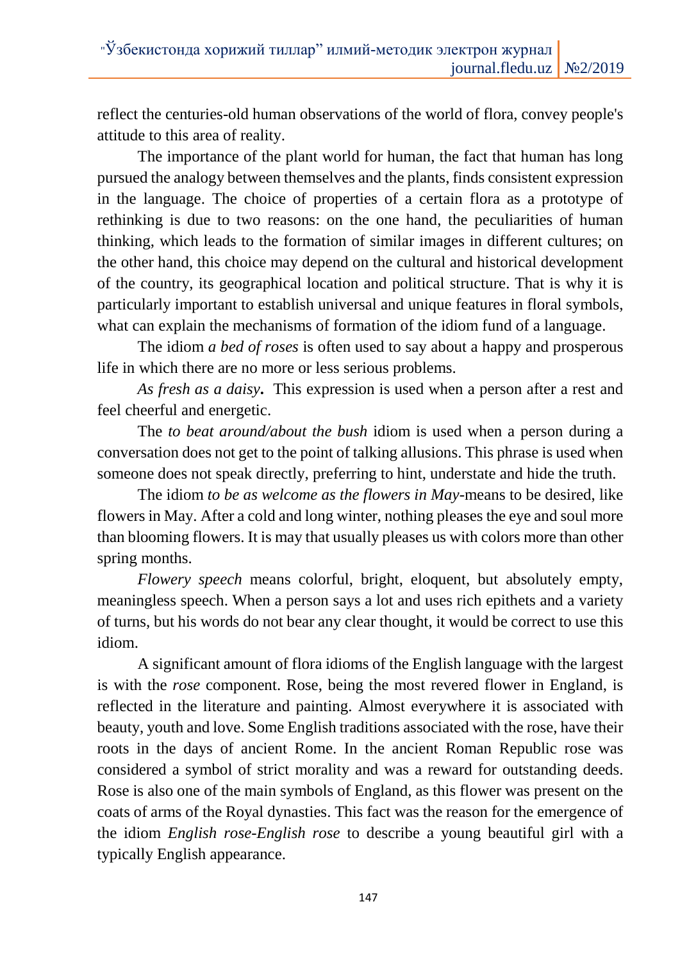reflect the centuries-old human observations of the world of flora, convey people's attitude to this area of reality.

The importance of the plant world for human, the fact that human has long pursued the analogy between themselves and the plants, finds consistent expression in the language. The choice of properties of a certain flora as a prototype of rethinking is due to two reasons: on the one hand, the peculiarities of human thinking, which leads to the formation of similar images in different cultures; on the other hand, this choice may depend on the cultural and historical development of the country, its geographical location and political structure. That is why it is particularly important to establish universal and unique features in floral symbols, what can explain the mechanisms of formation of the idiom fund of a language.

The idiom *a bed of roses* is often used to say about a happy and prosperous life in which there are no more or less serious problems.

*As fresh as a daisy***.** This expression is used when a person after a rest and feel cheerful and energetic.

The *to beat around/about the bush* idiom is used when a person during a conversation does not get to the point of talking allusions. This phrase is used when someone does not speak directly, preferring to hint, understate and hide the truth.

The idiom *to be as welcome as the flowers in May-*means to be desired, like flowers in May. After a cold and long winter, nothing pleases the eye and soul more than blooming flowers. It is may that usually pleases us with colors more than other spring months.

*Flowery speech* means colorful, bright, eloquent, but absolutely empty, meaningless speech. When a person says a lot and uses rich epithets and a variety of turns, but his words do not bear any clear thought, it would be correct to use this idiom.

A significant amount of flora idioms of the English language with the largest is with the *rose* component. Rose, being the most revered flower in England, is reflected in the literature and painting. Almost everywhere it is associated with beauty, youth and love. Some English traditions associated with the rose, have their roots in the days of ancient Rome. In the ancient Roman Republic rose was considered a symbol of strict morality and was a reward for outstanding deeds. Rose is also one of the main symbols of England, as this flower was present on the coats of arms of the Royal dynasties. This fact was the reason for the emergence of the idiom *English rose*-*English rose* to describe a young beautiful girl with a typically English appearance.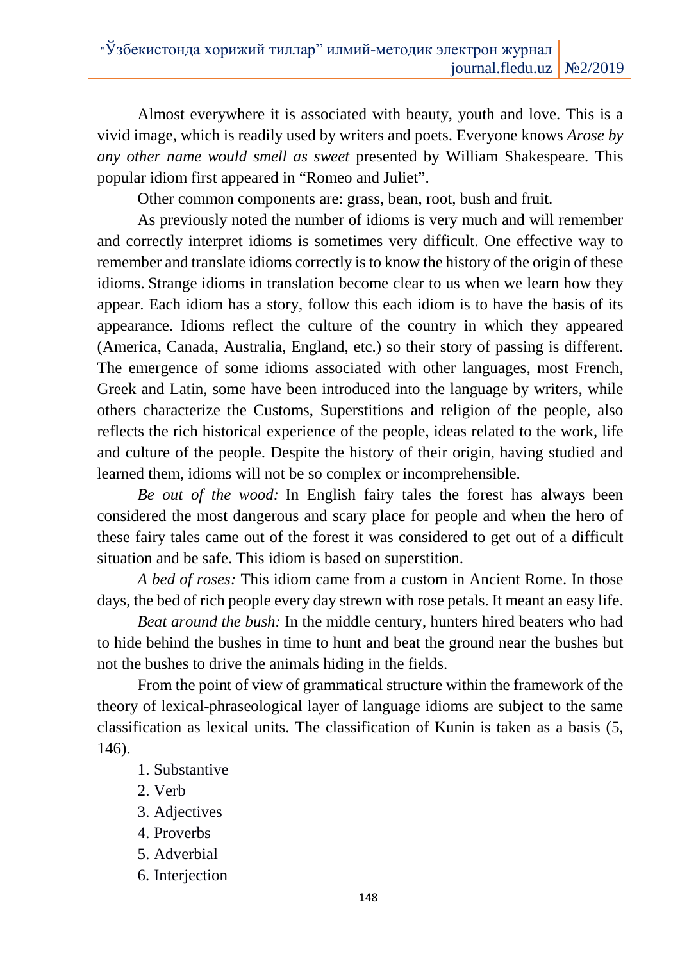Almost everywhere it is associated with beauty, youth and love. This is a vivid image, which is readily used by writers and poets. Everyone knows *Arose by any other name would smell as sweet* presented by William Shakespeare. This popular idiom first appeared in "Romeo and Juliet".

Other common components are: grass, bean, root, bush and fruit.

As previously noted the number of idioms is very much and will remember and correctly interpret idioms is sometimes very difficult. One effective way to remember and translate idioms correctly is to know the history of the origin of these idioms. Strange idioms in translation become clear to us when we learn how they appear. Each idiom has a story, follow this each idiom is to have the basis of its appearance. Idioms reflect the culture of the country in which they appeared (America, Canada, Australia, England, etc.) so their story of passing is different. The emergence of some idioms associated with other languages, most French, Greek and Latin, some have been introduced into the language by writers, while others characterize the Customs, Superstitions and religion of the people, also reflects the rich historical experience of the people, ideas related to the work, life and culture of the people. Despite the history of their origin, having studied and learned them, idioms will not be so complex or incomprehensible.

*Be out of the wood:* In English fairy tales the forest has always been considered the most dangerous and scary place for people and when the hero of these fairy tales came out of the forest it was considered to get out of a difficult situation and be safe. This idiom is based on superstition.

*A bed of roses:* This idiom came from a custom in Ancient Rome. In those days, the bed of rich people every day strewn with rose petals. It meant an easy life.

*Beat around the bush:* In the middle century, hunters hired beaters who had to hide behind the bushes in time to hunt and beat the ground near the bushes but not the bushes to drive the animals hiding in the fields.

From the point of view of grammatical structure within the framework of the theory of lexical-phraseological layer of language idioms are subject to the same classification as lexical units. The classification of Kunin is taken as a basis (5, 146).

- 1. Substantive
- 2. Verb
- 3. Adjectives
- 4. Proverbs
- 5. Adverbial
- 6. Interjection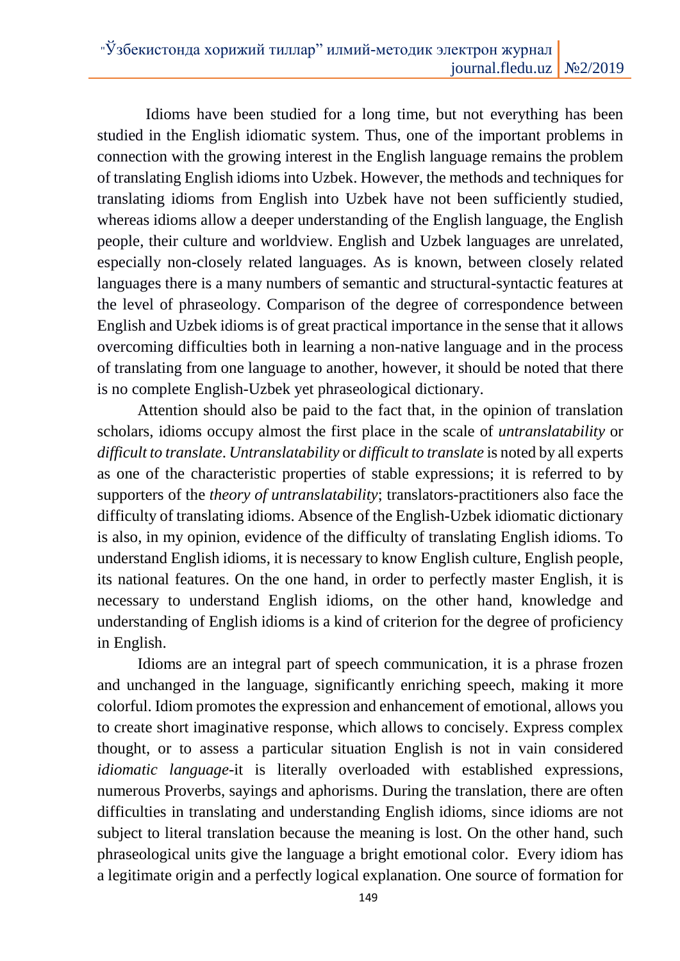Idioms have been studied for a long time, but not everything has been studied in the English idiomatic system. Thus, one of the important problems in connection with the growing interest in the English language remains the problem of translating English idioms into Uzbek. However, the methods and techniques for translating idioms from English into Uzbek have not been sufficiently studied, whereas idioms allow a deeper understanding of the English language, the English people, their culture and worldview. English and Uzbek languages are unrelated, especially non-closely related languages. As is known, between closely related languages there is a many numbers of semantic and structural-syntactic features at the level of phraseology. Comparison of the degree of correspondence between English and Uzbek idioms is of great practical importance in the sense that it allows overcoming difficulties both in learning a non-native language and in the process of translating from one language to another, however, it should be noted that there is no complete English-Uzbek yet phraseological dictionary.

Attention should also be paid to the fact that, in the opinion of translation scholars, idioms occupy almost the first place in the scale of *untranslatability* or *difficult to translate*. *Untranslatability* or *difficult to translate* is noted by all experts as one of the characteristic properties of stable expressions; it is referred to by supporters of the *theory of untranslatability*; translators-practitioners also face the difficulty of translating idioms. Absence of the English-Uzbek idiomatic dictionary is also, in my opinion, evidence of the difficulty of translating English idioms. To understand English idioms, it is necessary to know English culture, English people, its national features. On the one hand, in order to perfectly master English, it is necessary to understand English idioms, on the other hand, knowledge and understanding of English idioms is a kind of criterion for the degree of proficiency in English.

Idioms are an integral part of speech communication, it is a phrase frozen and unchanged in the language, significantly enriching speech, making it more colorful. Idiom promotes the expression and enhancement of emotional, allows you to create short imaginative response, which allows to concisely. Express complex thought, or to assess a particular situation English is not in vain considered *idiomatic language*-it is literally overloaded with established expressions, numerous Proverbs, sayings and aphorisms. During the translation, there are often difficulties in translating and understanding English idioms, since idioms are not subject to literal translation because the meaning is lost. On the other hand, such phraseological units give the language a bright emotional color. Every idiom has a legitimate origin and a perfectly logical explanation. One source of formation for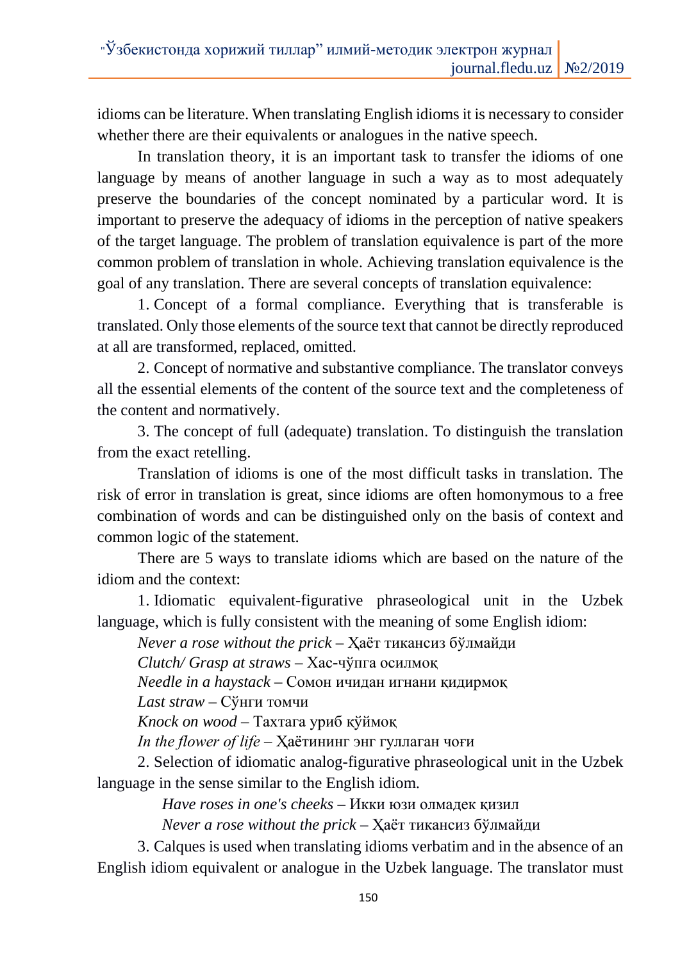idioms can be literature. When translating English idioms it is necessary to consider whether there are their equivalents or analogues in the native speech.

In translation theory, it is an important task to transfer the idioms of one language by means of another language in such a way as to most adequately preserve the boundaries of the concept nominated by a particular word. It is important to preserve the adequacy of idioms in the perception of native speakers of the target language. The problem of translation equivalence is part of the more common problem of translation in whole. Achieving translation equivalence is the goal of any translation. There are several concepts of translation equivalence:

1. Concept of a formal compliance. Everything that is transferable is translated. Only those elements of the source text that cannot be directly reproduced at all are transformed, replaced, omitted.

2. Concept of normative and substantive compliance. The translator conveys all the essential elements of the content of the source text and the completeness of the content and normatively.

3. The concept of full (adequate) translation. To distinguish the translation from the exact retelling.

Translation of idioms is one of the most difficult tasks in translation. The risk of error in translation is great, since idioms are often homonymous to a free combination of words and can be distinguished only on the basis of context and common logic of the statement.

There are 5 ways to translate idioms which are based on the nature of the idiom and the context:

1. Idiomatic equivalent-figurative phraseological unit in the Uzbek language, which is fully consistent with the meaning of some English idiom:

*Never a rose without the prick –* Ҳаёт тикансиз бўлмайди

*Clutch/ Grasp at straws* – Хас-чўпга осилмоқ

*Needle in a haystack –* Сомон ичидан игнани қидирмоқ

*Last straw –* Сўнги томчи

*Knock on wood –* Тахтага уриб қўймоқ

*In the flower of lifе* – Ҳаётининг энг гуллаган чоғи

2. Selection of idiomatic analog-figurative phraseological unit in the Uzbek language in the sense similar to the English idiom.

*Have roses in one's cheeks –* Икки юзи олмадек қизил

*Never a rose without the prick* – Ҳаёт тикансиз бўлмайди

3. Calques is used when translating idioms verbatim and in the absence of an English idiom equivalent or analogue in the Uzbek language. The translator must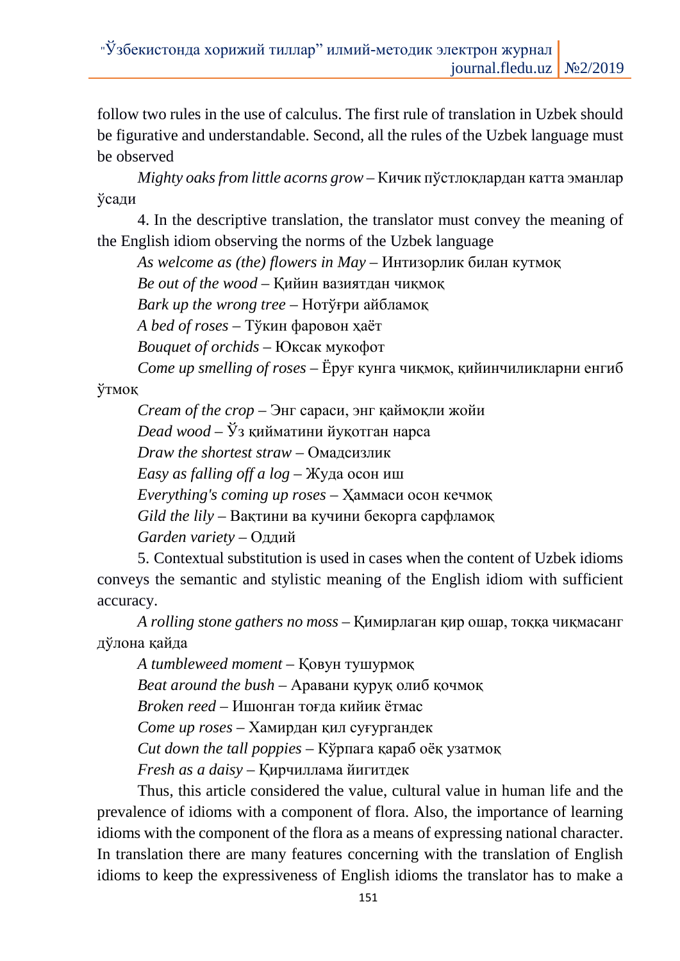follow two rules in the use of calculus. The first rule of translation in Uzbek should be figurative and understandable. Second, all the rules of the Uzbek language must be observed

*Mighty oaks from little acorns grow –* Кичик пўстлоқлардан катта эманлар ўсади

4. In the descriptive translation, the translator must convey the meaning of the English idiom observing the norms of the Uzbek language

*As welcome as (the) flowers in May –* Интизорлик билан кутмоқ

*Be out of the wood –* Қийин вазиятдан чиқмоқ

*Bark up the wrong tree –* Нотўғри айбламоқ

*A bed of roses –* Тўкин фаровон ҳаёт

*Bouquet of orchids –* Юксак мукофот

*Come up smelling of roses –* Ёруғ кунга чиқмоқ, қийинчиликларни енгиб

ўтмоқ

*Cream of the crop –* Энг сараси, энг қаймоқли жойи

*Dead wood –* Ўз қийматини йуқотган нарса

*Draw the shortest straw –* Омадсизлик

*Easy as falling off a log –* Жуда осон иш

*Everything's coming up roses –* Ҳаммаси осон кечмоқ

*Gild the lily –* Вақтини ва кучини бекорга сарфламоқ

*Garden variety –* Оддий

5. Contextual substitution is used in cases when the content of Uzbek idioms conveys the semantic and stylistic meaning of the English idiom with sufficient accuracy.

*A rolling stone gathers no moss* – Қимирлаган қир ошар, тоққа чиқмасанг дўлона қайда

*A tumbleweed moment* – Қовун тушурмоқ *Beat around the bush –* Аравани қуруқ олиб қочмоқ *Broken reed –* Ишонган тоғда кийик ётмас *Come up roses –* Хамирдан қил суғургандек *Cut down the tall poppies –* Кўрпага қараб оёқ узатмоқ *Fresh as a daisy –* Қирчиллама йигитдек

Thus, this article considered the value, cultural value in human life and the prevalence of idioms with a component of flora. Also, the importance of learning idioms with the component of the flora as a means of expressing national character. In translation there are many features concerning with the translation of English idioms to keep the expressiveness of English idioms the translator has to make a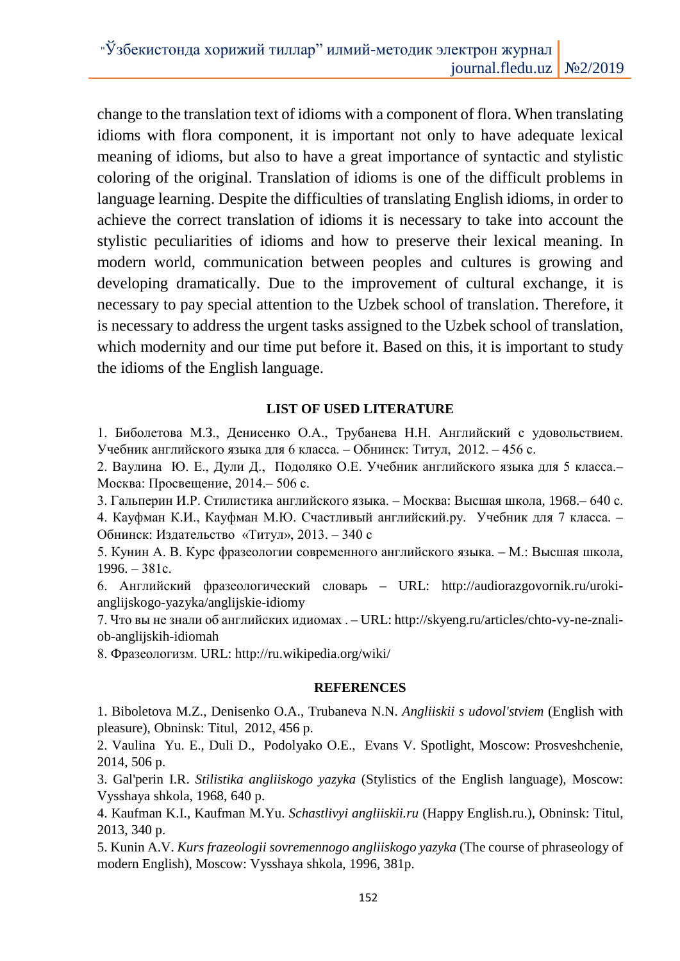change to the translation text of idioms with a component of flora. When translating idioms with flora component, it is important not only to have adequate lexical meaning of idioms, but also to have a great importance of syntactic and stylistic coloring of the original. Translation of idioms is one of the difficult problems in language learning. Despite the difficulties of translating English idioms, in order to achieve the correct translation of idioms it is necessary to take into account the stylistic peculiarities of idioms and how to preserve their lexical meaning. In modern world, communication between peoples and cultures is growing and developing dramatically. Due to the improvement of cultural exchange, it is necessary to pay special attention to the Uzbek school of translation. Therefore, it is necessary to address the urgent tasks assigned to the Uzbek school of translation, which modernity and our time put before it. Based on this, it is important to study the idioms of the English language.

## **LIST OF USED LITERATURE**

1. Биболетова М.З., Денисенко О.А., Трубанева Н.Н. Английский с удовольствием. Учебник английского языка для 6 класса. – Обнинск: Титул, 2012. – 456 с.

2. Ваулина Ю. Е., Дули Д., Подоляко О.Е. Учебник английского языка для 5 класса.– Москва: Просвещение, 2014.– 506 с.

3. Гальперин И.Р. Стилистика английского языка. – Москва: Высшая школа, 1968.– 640 с.

4. Кауфман К.И., Кауфман М.Ю. Счастливый английский.ру. Учебник для 7 класса. – Обнинск: Издательство «Титул», 2013. – 340 с

5. Кунин А. В. Курс фразеологии современного английского языка. – М.: Высшая школа, 1996. – 381с.

6. Английский фразеологический словарь – URL: http://audiorazgovornik.ru/urokianglijskogo-yazyka/anglijskie-idiomy

7. Что вы не знали об английских идиомах . – URL: http://skyeng.ru/articles/chto-vy-ne-znaliob-anglijskih-idiomah

8. Фразеологизм. URL: http://ru.wikipedia.org/wiki/

#### **REFERENCES**

1. Biboletova M.Z., Denisenko O.A., Trubaneva N.N. *Angliiskii s udovol'stviem* (English with pleasure), Obninsk: Titul, 2012, 456 p.

2. Vaulina Yu. E., Duli D., Podolyako O.E., Evans V. Spotlight, Moscow: Prosveshchenie, 2014, 506 p.

3. Gal'perin I.R. *Stilistika angliiskogo yazyka* (Stylistics of the English language), Moscow: Vysshaya shkola, 1968, 640 p.

4. Kaufman K.I., Kaufman M.Yu. *Schastlivyi angliiskii.ru* (Happy English.ru.), Obninsk: Titul, 2013, 340 p.

5. Kunin A.V. *Kurs frazeologii sovremennogo angliiskogo yazyka* (The course of phraseology of modern English), Moscow: Vysshaya shkola, 1996, 381p.